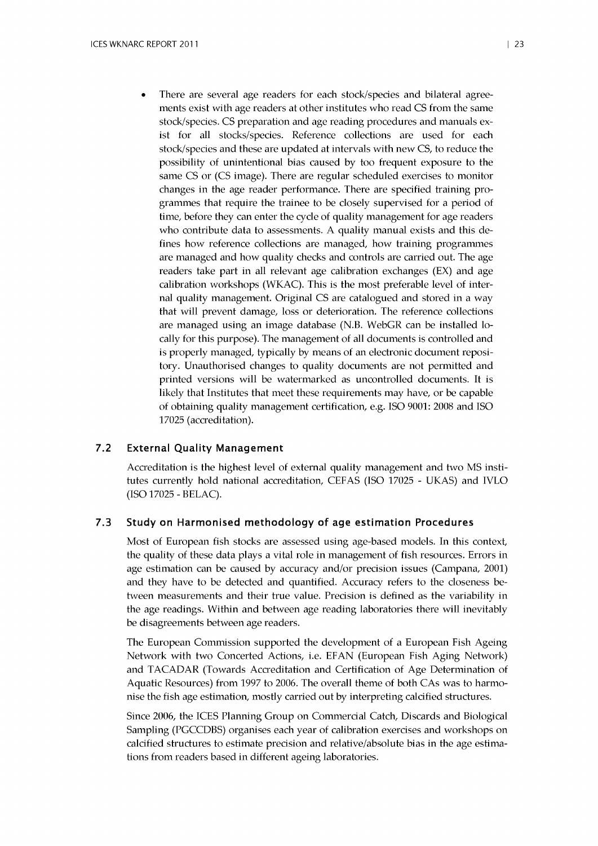There are several age readers for each stock/species and bilateral agreements exist with age readers at other institutes who read CS from the same stock/species. CS preparation and age reading procedures and manuals exist for all stocks/species. Reference collections are used for each stock/species and these are updated at intervals with new CS, to reduce the possibility of unintentional bias caused by too frequent exposure to the same CS or (CS image). There are regular scheduled exercises to monitor changes in the age reader performance. There are specified training programmes that require the trainee to be closely supervised for a period of time, before they can enter the cyde of quality management for age readers who contribute data to assessments. A quality manual exists and this defines how reference colledions are managed, how training programmes are managed and how quality checks and controls are carried out. The age readers take part in all relevant age calibration exchanges (EX) and age calibration workshops (WKAC). This is the most preferable level of internal quality management. Original CS are catalogued and stored in a way that will prevent damage, loss or deterioration. The reference collections are managed using an image database (N.B. WebGR can be installed locally for this purpose). The management of all documents is controlled and is properly managed, typically by means of an electronic document repository. Unauthorised changes to quality documents are not permitted and printed versions will be watermarked as uncontrolled documents. It is likely that Institutes that meet these requirements may have, or be capable of obtaining quality management certification, e.g. ISO 9001: 2008 and ISO 17025 (accreditation).

## 7.2 External Quality Management

Accreditation is the highest level of external quality management and two MS institutes currently hold national accreditation, CEFAS (ISO 17025 - UKAS) and IVLO (ISO 17025 - BELAC).

## 7.3 Study on Harmonised methodology of age estimation Procedures

Most of European fish stocks are assessed using age-based models. In this context, the quality of these data plays a vital role in management of fish resources. Errors in age estimation can be caused by accuracy and/or precision issues (Campana, 2001) and they have to be detected and quantified. Accuracy refers to the closeness between measurements and their true value. Precision is defined as the variability in the age readings. Within and between age reading laboratories there will inevitably be disagreements between age readers.

The European Commission supported the development of a European Fish Ageing Network with two Concerted Actions, i.e. EFAN (European Fish Aging Network) and TACADAR (Towards Accreditation and Certification of Age Determination of Aquatic Resources) from 1997 to 2006. The overall theme of both CAs was to harmonise the fish age estimation, mostly carried out by interpreting calcified structures.

Since 2006, the ICES Planning Group on Commercial Catch, Discards and Biological Sampling (PGCCDBS) organises each year of calibration exercises and workshops on calcified structures to estimate precision and relative/absolute bias in the age estimations from readers based in different ageing laboratories.